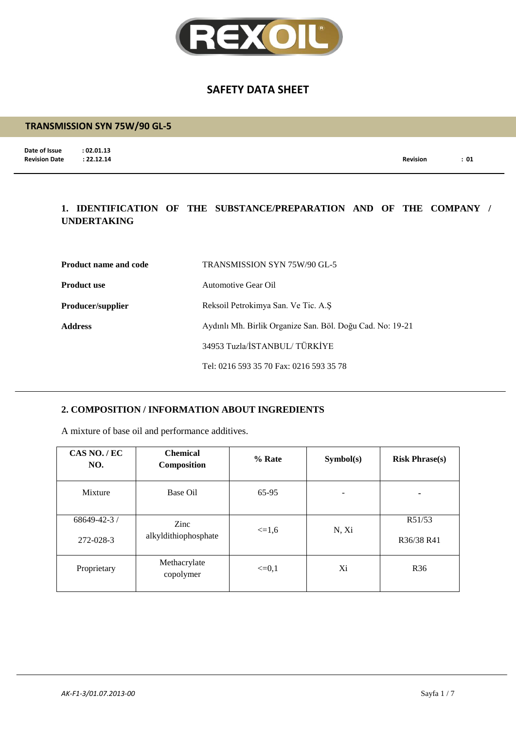

#### **TRANSMISSION SYN 75W/90 GL-5**

**Date of Issue : 02.01.13**<br>**Revision Date : 22.12.14** 

**Revision Date : 22.12.14 Revision : 01**

## **1. IDENTIFICATION OF THE SUBSTANCE/PREPARATION AND OF THE COMPANY / UNDERTAKING**

| <b>Product name and code</b> | TRANSMISSION SYN 75W/90 GL-5                              |  |
|------------------------------|-----------------------------------------------------------|--|
| <b>Product use</b>           | Automotive Gear Oil                                       |  |
| <b>Producer/supplier</b>     | Reksoil Petrokimya San. Ve Tic. A.S.                      |  |
| <b>Address</b>               | Aydınlı Mh. Birlik Organize San. Böl. Doğu Cad. No: 19-21 |  |
|                              | 34953 Tuzla/İSTANBUL/TÜRKİYE                              |  |
|                              | Tel: 0216 593 35 70 Fax: 0216 593 35 78                   |  |

#### **2. COMPOSITION / INFORMATION ABOUT INGREDIENTS**

A mixture of base oil and performance additives.

| CAS NO./EC<br>NO.               | <b>Chemical</b><br>Composition | % Rate     | Symbol(s) | <b>Risk Phrase(s)</b> |
|---------------------------------|--------------------------------|------------|-----------|-----------------------|
| Mixture                         | Base Oil                       | 65-95      |           | ٠                     |
| $68649 - 42 - 3$ /<br>272-028-3 | Zinc<br>alkyldithiophosphate   | $\leq 1.6$ | N, Xi     | R51/53<br>R36/38 R41  |
| Proprietary                     | Methacrylate<br>copolymer      | $\leq=0.1$ | Xi        | R <sub>36</sub>       |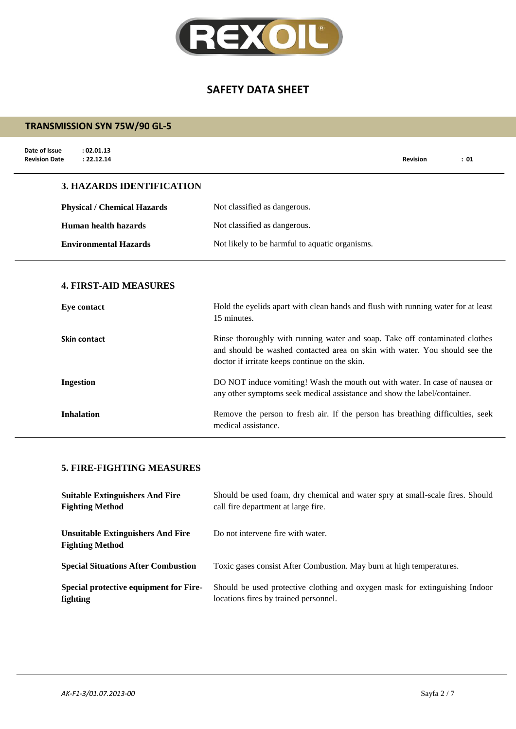

## **TRANSMISSION SYN 75W/90 GL-5**

| Date of Issue<br>: 02.01.13<br>: 22.12.14<br><b>Revision Date</b> |                                                                                                                                                                                                             | <b>Revision</b> | : 01 |
|-------------------------------------------------------------------|-------------------------------------------------------------------------------------------------------------------------------------------------------------------------------------------------------------|-----------------|------|
| <b>3. HAZARDS IDENTIFICATION</b>                                  |                                                                                                                                                                                                             |                 |      |
| <b>Physical / Chemical Hazards</b>                                | Not classified as dangerous.                                                                                                                                                                                |                 |      |
| <b>Human health hazards</b>                                       | Not classified as dangerous.                                                                                                                                                                                |                 |      |
| <b>Environmental Hazards</b>                                      | Not likely to be harmful to aquatic organisms.                                                                                                                                                              |                 |      |
| <b>4. FIRST-AID MEASURES</b><br>Eye contact                       | Hold the eyelids apart with clean hands and flush with running water for at least<br>15 minutes.                                                                                                            |                 |      |
| <b>Skin contact</b>                                               | Rinse thoroughly with running water and soap. Take off contaminated clothes<br>and should be washed contacted area on skin with water. You should see the<br>doctor if irritate keeps continue on the skin. |                 |      |
| <b>Ingestion</b>                                                  | DO NOT induce vomiting! Wash the mouth out with water. In case of nausea or<br>any other symptoms seek medical assistance and show the label/container.                                                     |                 |      |
| <b>Inhalation</b>                                                 | Remove the person to fresh air. If the person has breathing difficulties, seek                                                                                                                              |                 |      |

medical assistance.

#### **5. FIRE-FIGHTING MEASURES**

| <b>Suitable Extinguishers And Fire</b>                             | Should be used foam, dry chemical and water spry at small-scale fires. Should |
|--------------------------------------------------------------------|-------------------------------------------------------------------------------|
| <b>Fighting Method</b>                                             | call fire department at large fire.                                           |
| <b>Unsuitable Extinguishers And Fire</b><br><b>Fighting Method</b> | Do not intervene fire with water.                                             |
| <b>Special Situations After Combustion</b>                         | Toxic gases consist After Combustion. May burn at high temperatures.          |
| Special protective equipment for Fire-                             | Should be used protective clothing and oxygen mask for extinguishing Indoor   |
| fighting                                                           | locations fires by trained personnel.                                         |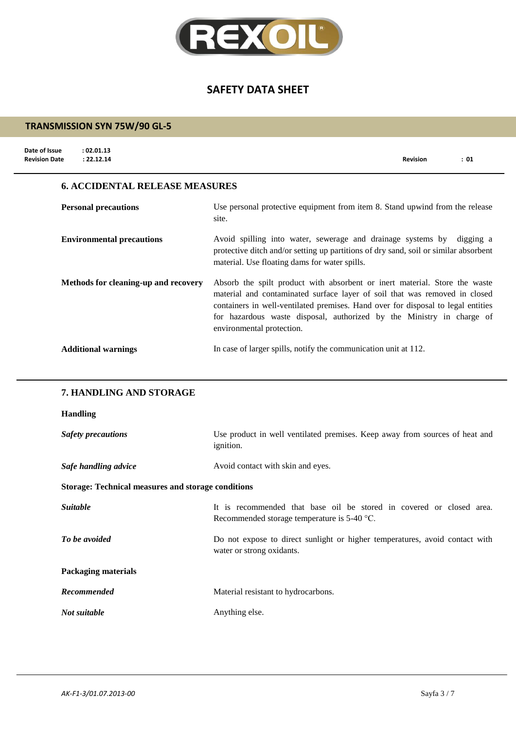

#### **TRANSMISSION SYN 75W/90 GL-5**

| Date of Issue<br><b>Revision Date</b> | : 02.01.13<br>: 22.12.14              | <b>Revision</b>                                                                       | : 01 |
|---------------------------------------|---------------------------------------|---------------------------------------------------------------------------------------|------|
|                                       | <b>6. ACCIDENTAL RELEASE MEASURES</b> |                                                                                       |      |
|                                       | <b>Personal precautions</b>           | Use personal protective equipment from item 8. Stand upwind from the release<br>site. |      |

**Environmental precautions** Avoid spilling into water, sewerage and drainage systems by digging a protective ditch and/or setting up partitions of dry sand, soil or similar absorbent material. Use floating dams for water spills.

**Methods for cleaning-up and recovery** Absorb the spilt product with absorbent or inert material. Store the waste material and contaminated surface layer of soil that was removed in closed containers in well-ventilated premises. Hand over for disposal to legal entities for hazardous waste disposal, authorized by the Ministry in charge of environmental protection.

#### **Additional warnings** In case of larger spills, notify the communication unit at 112.

#### **7. HANDLING AND STORAGE**

#### **Handling**

| <b>Safety precautions</b>                                 | Use product in well ventilated premises. Keep away from sources of heat and<br><i>ignition.</i>                       |
|-----------------------------------------------------------|-----------------------------------------------------------------------------------------------------------------------|
| Safe handling advice                                      | Avoid contact with skin and eyes.                                                                                     |
| <b>Storage: Technical measures and storage conditions</b> |                                                                                                                       |
| <i>Suitable</i>                                           | It is recommended that base oil be stored in covered or closed area.<br>Recommended storage temperature is $5-40$ °C. |
| To be avoided                                             | Do not expose to direct sunlight or higher temperatures, avoid contact with<br>water or strong oxidants.              |
| <b>Packaging materials</b>                                |                                                                                                                       |
| Recommended                                               | Material resistant to hydrocarbons.                                                                                   |
| Not suitable                                              | Anything else.                                                                                                        |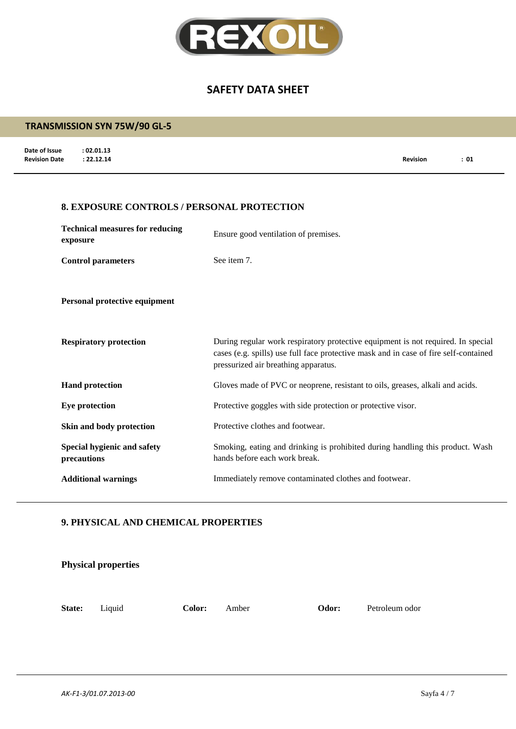

# **Date of Issue : 02.01.13**<br>**Revision Date** : 22.12.14 **Revision Date : 22.12.14 Revision : 01 TRANSMISSION SYN 75W/90 GL-5 8. EXPOSURE CONTROLS / PERSONAL PROTECTION Technical measures for reducing exposure** Ensure good ventilation of premises. **Control parameters** See item 7. **Personal protective equipment Respiratory protection** During regular work respiratory protective equipment is not required. In special cases (e.g. spills) use full face protective mask and in case of fire self-contained pressurized air breathing apparatus. **Hand protection** Gloves made of PVC or neoprene, resistant to oils, greases, alkali and acids. **Eye protection** Protective goggles with side protection or protective visor. **Skin and body protection** Protective clothes and footwear. **Special hygienic and safety precautions** Smoking, eating and drinking is prohibited during handling this product. Wash hands before each work break. **Additional warnings** Immediately remove contaminated clothes and footwear.

#### **9. PHYSICAL AND CHEMICAL PROPERTIES**

|        | <b>Physical properties</b> |        |       |       |                |
|--------|----------------------------|--------|-------|-------|----------------|
| State: | Liquid                     | Color: | Amber | Odor: | Petroleum odor |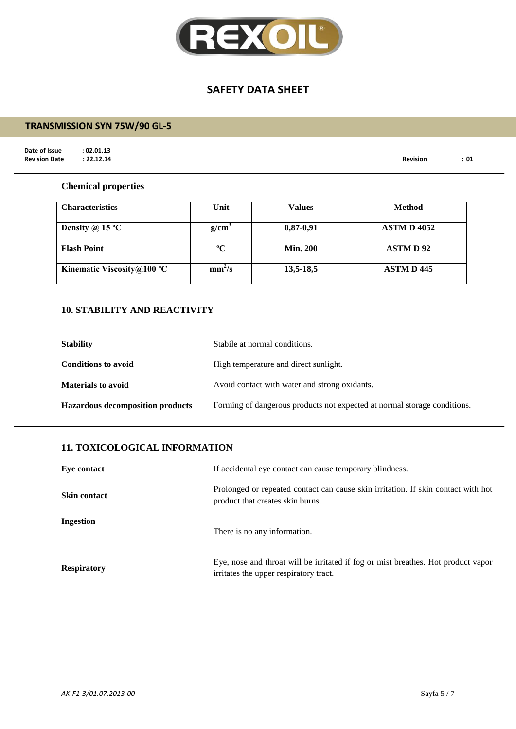

## **TRANSMISSION SYN 75W/90 GL-5**

**Date of Issue : 02.01.13**<br>**Revision Date : 22.12.14** 

**Revision Date : 22.12.14 Revision : 01**

#### **Chemical properties**

| <b>Characteristics</b>     | Unit               | Values          | <b>Method</b>      |
|----------------------------|--------------------|-----------------|--------------------|
| Density @ 15 $^{\circ}$ C  | $g/cm^{3}$         | $0,87-0,91$     | <b>ASTM D 4052</b> |
| <b>Flash Point</b>         | $\rm ^oC$          | <b>Min. 200</b> | <b>ASTMD92</b>     |
| Kinematic Viscosity@100 °C | mm <sup>2</sup> /s | 13,5-18,5       | <b>ASTM D 445</b>  |

## **10. STABILITY AND REACTIVITY**

| <b>Stability</b>                        | Stabile at normal conditions.                                            |  |
|-----------------------------------------|--------------------------------------------------------------------------|--|
| <b>Conditions to avoid</b>              | High temperature and direct sunlight.                                    |  |
| <b>Materials to avoid</b>               | Avoid contact with water and strong oxidants.                            |  |
| <b>Hazardous decomposition products</b> | Forming of dangerous products not expected at normal storage conditions. |  |

#### **11. TOXICOLOGICAL INFORMATION**

| Eye contact         | If accidental eye contact can cause temporary blindness.<br>Prolonged or repeated contact can cause skin irritation. If skin contact with hot<br>product that creates skin burns. |  |
|---------------------|-----------------------------------------------------------------------------------------------------------------------------------------------------------------------------------|--|
| <b>Skin contact</b> |                                                                                                                                                                                   |  |
| Ingestion           | There is no any information.                                                                                                                                                      |  |
| <b>Respiratory</b>  | Eye, nose and throat will be irritated if fog or mist breathes. Hot product vapor<br>irritates the upper respiratory tract.                                                       |  |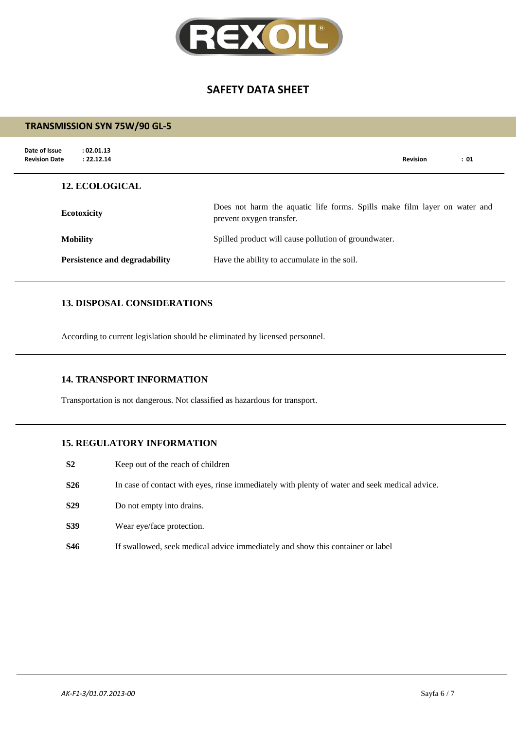

|                                                                               | <b>TRANSMISSION SYN 75W/90 GL-5</b>                               |                                                                                                       |  |  |
|-------------------------------------------------------------------------------|-------------------------------------------------------------------|-------------------------------------------------------------------------------------------------------|--|--|
|                                                                               | Date of Issue<br>: 02.01.13<br>: 22.12.14<br><b>Revision Date</b> | <b>Revision</b><br>: 01                                                                               |  |  |
|                                                                               | <b>12. ECOLOGICAL</b>                                             |                                                                                                       |  |  |
| <b>Ecotoxicity</b><br><b>Mobility</b><br><b>Persistence and degradability</b> |                                                                   | Does not harm the aquatic life forms. Spills make film layer on water and<br>prevent oxygen transfer. |  |  |
|                                                                               |                                                                   | Spilled product will cause pollution of groundwater.                                                  |  |  |
|                                                                               |                                                                   | Have the ability to accumulate in the soil.                                                           |  |  |
|                                                                               |                                                                   |                                                                                                       |  |  |

## **13. DISPOSAL CONSIDERATIONS**

According to current legislation should be eliminated by licensed personnel.

#### **14. TRANSPORT INFORMATION**

Transportation is not dangerous. Not classified as hazardous for transport.

#### **15. REGULATORY INFORMATION**

- **S2** Keep out of the reach of children
- **S26** In case of contact with eyes, rinse immediately with plenty of water and seek medical advice.
- **S29** Do not empty into drains.
- **S39** Wear eye/face protection.
- **S46** If swallowed, seek medical advice immediately and show this container or label